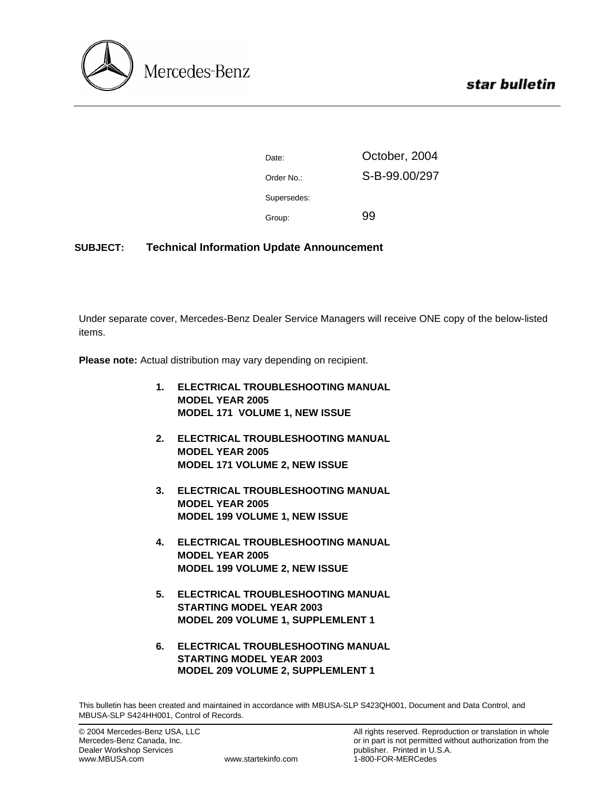

| Date:       | October, 2004 |  |
|-------------|---------------|--|
| Order No.:  | S-B-99.00/297 |  |
| Supersedes: |               |  |
| Group:      | 99            |  |

## **SUBJECT: Technical Information Update Announcement**

Under separate cover, Mercedes-Benz Dealer Service Managers will receive ONE copy of the below-listed items.

**Please note:** Actual distribution may vary depending on recipient.

- **1. ELECTRICAL TROUBLESHOOTING MANUAL MODEL YEAR 2005 MODEL 171 VOLUME 1, NEW ISSUE**
- **2. ELECTRICAL TROUBLESHOOTING MANUAL MODEL YEAR 2005 MODEL 171 VOLUME 2, NEW ISSUE**
- **3. ELECTRICAL TROUBLESHOOTING MANUAL MODEL YEAR 2005 MODEL 199 VOLUME 1, NEW ISSUE**
- **4. ELECTRICAL TROUBLESHOOTING MANUAL MODEL YEAR 2005 MODEL 199 VOLUME 2, NEW ISSUE**
- **5. ELECTRICAL TROUBLESHOOTING MANUAL STARTING MODEL YEAR 2003 MODEL 209 VOLUME 1, SUPPLEMLENT 1**
- **6. ELECTRICAL TROUBLESHOOTING MANUAL STARTING MODEL YEAR 2003 MODEL 209 VOLUME 2, SUPPLEMLENT 1**

This bulletin has been created and maintained in accordance with MBUSA-SLP S423QH001, Document and Data Control, and MBUSA-SLP S424HH001, Control of Records.